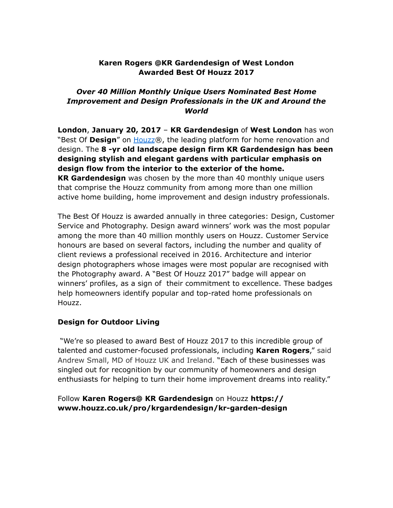## **Karen Rogers @KR Gardendesign of West London Awarded Best Of Houzz 2017**

# *Over 40 Million Monthly Unique Users Nominated Best Home Improvement and Design Professionals in the UK and Around the World*

**London**, **January 20, 2017** – **KR Gardendesign** of **West London** has won "Best Of **Design**" on [Houzz®](http://www.houzz.co.uk), the leading platform for home renovation and design. The **8 -yr old landscape design firm KR Gardendesign has been designing stylish and elegant gardens with particular emphasis on design flow from the interior to the exterior of the home. KR Gardendesign** was chosen by the more than 40 monthly unique users that comprise the Houzz community from among more than one million active home building, home improvement and design industry professionals.

The Best Of Houzz is awarded annually in three categories: Design, Customer Service and Photography. Design award winners' work was the most popular among the more than 40 million monthly users on Houzz. Customer Service honours are based on several factors, including the number and quality of client reviews a professional received in 2016. Architecture and interior design photographers whose images were most popular are recognised with the Photography award. A "Best Of Houzz 2017" badge will appear on winners' profiles, as a sign of their commitment to excellence. These badges help homeowners identify popular and top-rated home professionals on Houzz.

### **Design for Outdoor Living**

"We're so pleased to award Best of Houzz 2017 to this incredible group of talented and customer-focused professionals, including **Karen Rogers**," said Andrew Small, MD of Houzz UK and Ireland. "Each of these businesses was singled out for recognition by our community of homeowners and design enthusiasts for helping to turn their home improvement dreams into reality."

## Follow **Karen Rogers@ KR Gardendesign** on Houzz **[https://](https://www.houzz.co.uk/pro/krgardendesign/kr-garden-design) [www.houzz.co.uk/pro/krgardendesign/kr-garden-design](https://www.houzz.co.uk/pro/krgardendesign/kr-garden-design)**